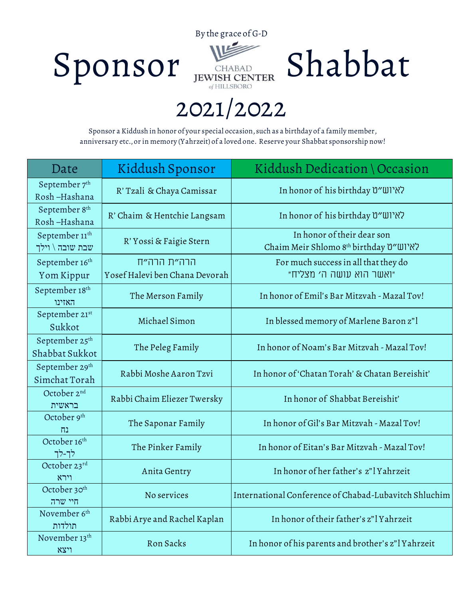



## **2021/2022**

**Sponsor a Kiddush in honor of your special occasion, such as a birthday of a family member, anniversary etc., or in memory (Yahrzeit) of a loved one. Reserve your Shabbat sponsorship now!**

| Date                                          | Kiddush Sponsor                               | Kiddush Dedication \ Occasion                                        |
|-----------------------------------------------|-----------------------------------------------|----------------------------------------------------------------------|
| September 7th<br>Rosh-Hashana                 | R' Tzali & Chaya Camissar                     | In honor of his birthday "שאיוש"ט                                    |
| September 8 <sup>th</sup><br>Rosh-Hashana     | R' Chaim & Hentchie Langsam                   | In honor of his birthday "שיוש״ט                                     |
| September 11 <sup>th</sup><br>שבת שובה \ וילך | R' Yossi & Faigie Stern                       | In honor of their dear son<br>Chaim Meir Shlomo 8th birthday לאיוש״ט |
| September 16th<br>Yom Kippur                  | הרה״ת הרה״ח<br>Yosef Halevi ben Chana Devorah | For much success in all that they do<br>"ואשר הוא עושה ה׳ מצליח"     |
| September 18th<br>האזינו                      | The Merson Family                             | In honor of Emil's Bar Mitzvah - Mazal Tov!                          |
| September 21st<br>Sukkot                      | Michael Simon                                 | In blessed memory of Marlene Baron z"l                               |
| September 25 <sup>th</sup><br>Shabbat Sukkot  | The Peleg Family                              | In honor of Noam's Bar Mitzvah - Mazal Toy!                          |
| September 29th<br>Simchat Torah               | Rabbi Moshe Aaron Tzvi                        | In honor of 'Chatan Torah' & Chatan Bereishit'                       |
| October 2nd<br>בראשית                         | Rabbi Chaim Eliezer Twersky                   | In honor of Shabbat Bereishit'                                       |
| October 9th<br>נח                             | The Saponar Family                            | In honor of Gil's Bar Mitzvah - Mazal Tov!                           |
| October 16th<br>לך-לך                         | The Pinker Family                             | In honor of Eitan's Bar Mitzvah - Mazal Toy!                         |
| October 23rd<br>וירא                          | Anita Gentry                                  | In honor of her father's z"l Yahrzeit                                |
| October 30 <sup>th</sup><br>חיי שרה           | No services                                   | International Conference of Chabad-Lubavitch Shluchim                |
| November 6 <sup>th</sup><br>תולדות            | Rabbi Arye and Rachel Kaplan                  | In honor of their father's z"l Yahrzeit                              |
| November 13 <sup>th</sup><br>ויצא             | Ron Sacks                                     | In honor of his parents and brother's z"l Yahrzeit                   |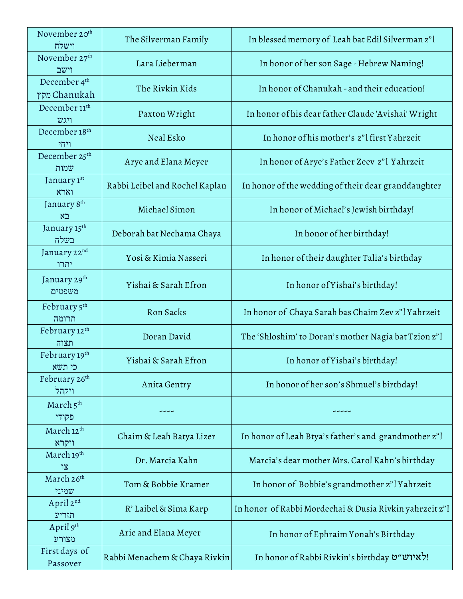| November 20 <sup>th</sup><br>וישלח       | The Silverman Family           | In blessed memory of Leah bat Edil Silverman z"l        |
|------------------------------------------|--------------------------------|---------------------------------------------------------|
| November 27th<br>וישב                    | Lara Lieberman                 | In honor of her son Sage - Hebrew Naming!               |
| December 4 <sup>th</sup><br>מקץ Chanukah | The Rivkin Kids                | In honor of Chanukah - and their education!             |
| December 11 <sup>th</sup><br>ויגש        | Paxton Wright                  | In honor of his dear father Claude 'Avishai' Wright     |
| December 18 <sup>th</sup><br>ויחי        | Neal Esko                      | In honor of his mother's z"l first Yahrzeit             |
| December 25 <sup>th</sup><br>שמות        | Arye and Elana Meyer           | In honor of Arye's Father Zeev z"l Yahrzeit             |
| January 1st<br>וארא                      | Rabbi Leibel and Rochel Kaplan | In honor of the wedding of their dear granddaughter     |
| January 8th<br>בא                        | Michael Simon                  | In honor of Michael's Jewish birthday!                  |
| January 15 <sup>th</sup><br>בשלח         | Deborah bat Nechama Chaya      | In honor of her birthday!                               |
| January 22nd<br>יתרו                     | Yosi & Kimia Nasseri           | In honor of their daughter Talia's birthday             |
| January 29 <sup>th</sup><br>משפטים       | Yishai & Sarah Efron           | In honor of Yishai's birthday!                          |
| February 5th<br>תרומה                    | Ron Sacks                      | In honor of Chaya Sarah bas Chaim Zev z"l Yahrzeit      |
| February 12 <sup>th</sup><br>תצוה        | Doran David                    | The 'Shloshim' to Doran's mother Nagia bat Tzion z"l    |
| February 19th<br>כי תשא                  | Yishai & Sarah Efron           | In honor of Yishai's birthday!                          |
| February 26th<br>ויקהל                   | Anita Gentry                   | In honor of her son's Shmuel's birthday!                |
| March 5th<br>פקודי                       |                                |                                                         |
| March 12 <sup>th</sup><br>ויקרא          | Chaim & Leah Batya Lizer       | In honor of Leah Btya's father's and grandmother z"l    |
| March 19th<br>צו                         | Dr. Marcia Kahn                | Marcia's dear mother Mrs. Carol Kahn's birthday         |
| March 26th<br>שמיני                      | Tom & Bobbie Kramer            | In honor of Bobbie's grandmother z"l Yahrzeit           |
| April 2nd<br>תזריע                       | R' Laibel & Sima Karp          | In honor of Rabbi Mordechai & Dusia Rivkin yahrzeit z"l |
| April 9th<br>מצורע                       | Arie and Elana Meyer           | In honor of Ephraim Yonah's Birthday                    |
| First days of<br>Passover                | Rabbi Menachem & Chaya Rivkin  | In honor of Rabbi Rivkin's birthday איוש"ט              |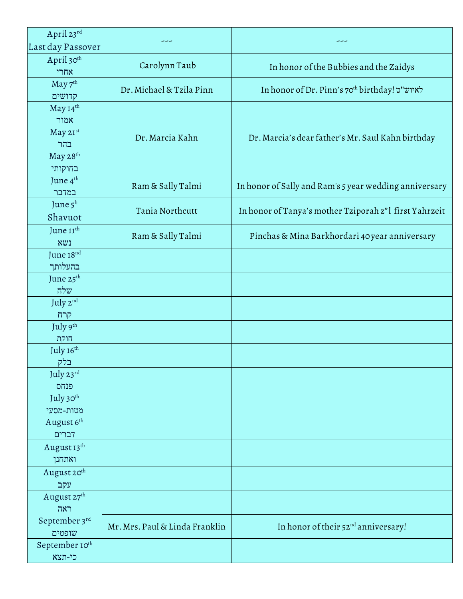| April 23rd<br>Last day Passover      |                                |                                                        |
|--------------------------------------|--------------------------------|--------------------------------------------------------|
| April 30th<br>אחרי                   | Carolynn Taub                  | In honor of the Bubbies and the Zaidys                 |
| May 7 <sup>th</sup><br>קדושים        | Dr. Michael & Tzila Pinn       | In honor of Dr. Pinn's 70th birthday! לאיוש"ט          |
| May 14th                             |                                |                                                        |
| אמור<br>May 21st                     | Dr. Marcia Kahn                | Dr. Marcia's dear father's Mr. Saul Kahn birthday      |
| בהר<br>May 28th                      |                                |                                                        |
| בחוקותי<br>June 4 <sup>th</sup>      | Ram & Sally Talmi              | In honor of Sally and Ram's 5 year wedding anniversary |
| במדבר<br>June $5^h$                  | Tania Northcutt                | In honor of Tanya's mother Tziporah z"l first Yahrzeit |
| Shavuot<br>June 11 <sup>th</sup>     |                                |                                                        |
| XU1<br>June 18nd                     | Ram & Sally Talmi              | Pinchas & Mina Barkhordari 40 year anniversary         |
| בהעלותך<br>June 25 <sup>th</sup>     |                                |                                                        |
| שלח                                  |                                |                                                        |
| July 2nd<br>קרח                      |                                |                                                        |
| July 9th<br>חוקת                     |                                |                                                        |
| July 16th<br>בלק                     |                                |                                                        |
| July 23rd<br>פנחס                    |                                |                                                        |
| July 30th<br>מטות-מסעי               |                                |                                                        |
| August 6th<br>דברים                  |                                |                                                        |
| August 13 <sup>th</sup><br>ואתחנן    |                                |                                                        |
| August 20 <sup>th</sup><br>עקב       |                                |                                                        |
| August 27 <sup>th</sup><br>ראה       |                                |                                                        |
| September 3rd<br>שופטים              | Mr. Mrs. Paul & Linda Franklin | In honor of their 52 <sup>nd</sup> anniversary!        |
| September 10 <sup>th</sup><br>כי-תצא |                                |                                                        |